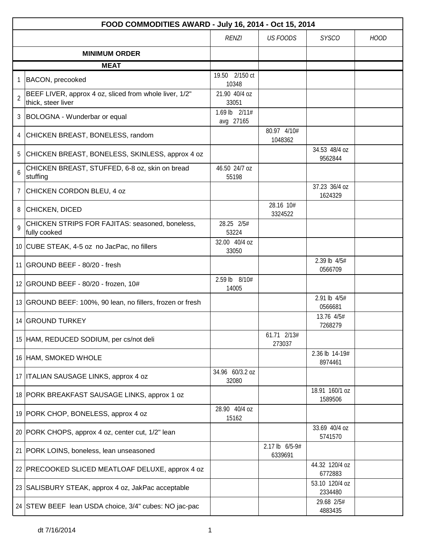|                | FOOD COMMODITIES AWARD - July 16, 2014 - Oct 15, 2014                        |                            |                           |                           |             |  |  |
|----------------|------------------------------------------------------------------------------|----------------------------|---------------------------|---------------------------|-------------|--|--|
|                |                                                                              | <b>RENZI</b>               | <b>US FOODS</b>           | <b>SYSCO</b>              | <b>HOOD</b> |  |  |
|                | <b>MINIMUM ORDER</b>                                                         |                            |                           |                           |             |  |  |
|                | <b>MEAT</b>                                                                  |                            |                           |                           |             |  |  |
|                | BACON, precooked                                                             | 19.50 2/150 ct<br>10348    |                           |                           |             |  |  |
| $\overline{2}$ | BEEF LIVER, approx 4 oz, sliced from whole liver, 1/2"<br>thick, steer liver | 21.90 40/4 oz<br>33051     |                           |                           |             |  |  |
|                | 3 BOLOGNA - Wunderbar or equal                                               | 1.69 lb 2/11#<br>avg 27165 |                           |                           |             |  |  |
| 4              | CHICKEN BREAST, BONELESS, random                                             |                            | 80.97 4/10#<br>1048362    |                           |             |  |  |
| 5              | CHICKEN BREAST, BONELESS, SKINLESS, approx 4 oz                              |                            |                           | 34.53 48/4 oz<br>9562844  |             |  |  |
| 6              | CHICKEN BREAST, STUFFED, 6-8 oz, skin on bread<br>stuffing                   | 46.50 24/7 oz<br>55198     |                           |                           |             |  |  |
| $\overline{7}$ | CHICKEN CORDON BLEU, 4 oz                                                    |                            |                           | 37.23 36/4 oz<br>1624329  |             |  |  |
|                | 8 CHICKEN, DICED                                                             |                            | 28.16 10#<br>3324522      |                           |             |  |  |
| 9              | CHICKEN STRIPS FOR FAJITAS: seasoned, boneless,<br>fully cooked              | 28.25 2/5#<br>53224        |                           |                           |             |  |  |
|                | 10 CUBE STEAK, 4-5 oz no JacPac, no fillers                                  | 32.00 40/4 oz<br>33050     |                           |                           |             |  |  |
|                | 11 GROUND BEEF - 80/20 - fresh                                               |                            |                           | 2.39 lb 4/5#<br>0566709   |             |  |  |
|                | 12 GROUND BEEF - 80/20 - frozen, 10#                                         | 2.59 lb 8/10#<br>14005     |                           |                           |             |  |  |
|                | 13 GROUND BEEF: 100%, 90 lean, no fillers, frozen or fresh                   |                            |                           | 2.91 lb 4/5#<br>0566681   |             |  |  |
|                | 14 GROUND TURKEY                                                             |                            |                           | 13.76 4/5#<br>7268279     |             |  |  |
|                | 15 HAM, REDUCED SODIUM, per cs/not deli                                      |                            | 61.71 2/13#<br>273037     |                           |             |  |  |
|                | 16 HAM, SMOKED WHOLE                                                         |                            |                           | 2.36 lb 14-19#<br>8974461 |             |  |  |
|                | 17   ITALIAN SAUSAGE LINKS, approx 4 oz                                      | 34.96 60/3.2 oz<br>32080   |                           |                           |             |  |  |
|                | 18 PORK BREAKFAST SAUSAGE LINKS, approx 1 oz                                 |                            |                           | 18.91 160/1 oz<br>1589506 |             |  |  |
|                | 19 PORK CHOP, BONELESS, approx 4 oz                                          | 28.90 40/4 oz<br>15162     |                           |                           |             |  |  |
|                | 20 PORK CHOPS, approx 4 oz, center cut, 1/2" lean                            |                            |                           | 33.69 40/4 oz<br>5741570  |             |  |  |
|                | 21   PORK LOINS, boneless, lean unseasoned                                   |                            | 2.17 lb 6/5-9#<br>6339691 |                           |             |  |  |
|                | 22 PRECOOKED SLICED MEATLOAF DELUXE, approx 4 oz                             |                            |                           | 44.32 120/4 oz<br>6772883 |             |  |  |
|                | 23 SALISBURY STEAK, approx 4 oz, JakPac acceptable                           |                            |                           | 53.10 120/4 oz<br>2334480 |             |  |  |
|                | 24 STEW BEEF lean USDA choice, 3/4" cubes: NO jac-pac                        |                            |                           | 29.68 2/5#<br>4883435     |             |  |  |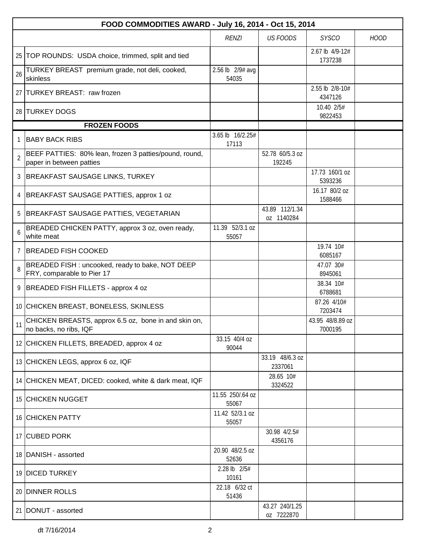|                | FOOD COMMODITIES AWARD - July 16, 2014 - Oct 15, 2014                              |                           |                              |                             |             |  |  |  |
|----------------|------------------------------------------------------------------------------------|---------------------------|------------------------------|-----------------------------|-------------|--|--|--|
|                |                                                                                    | <b>RENZI</b>              | <b>US FOODS</b>              | <b>SYSCO</b>                | <b>HOOD</b> |  |  |  |
|                | 25   TOP ROUNDS: USDA choice, trimmed, split and tied                              |                           |                              | 2.67 lb 4/9-12#<br>1737238  |             |  |  |  |
| 26             | TURKEY BREAST premium grade, not deli, cooked,<br>skinless                         | 2.56 lb 2/9# avg<br>54035 |                              |                             |             |  |  |  |
|                | 27 TURKEY BREAST: raw frozen                                                       |                           |                              | 2.55 lb 2/8-10#<br>4347126  |             |  |  |  |
|                | 28 TURKEY DOGS                                                                     |                           |                              | 10.40 2/5#<br>9822453       |             |  |  |  |
|                | <b>FROZEN FOODS</b>                                                                |                           |                              |                             |             |  |  |  |
| 1              | <b>BABY BACK RIBS</b>                                                              | 3.65 lb 16/2.25#<br>17113 |                              |                             |             |  |  |  |
| $\overline{2}$ | BEEF PATTIES: 80% lean, frozen 3 patties/pound, round,<br>paper in between patties |                           | 52.78 60/5.3 oz<br>192245    |                             |             |  |  |  |
| 3              | <b>BREAKFAST SAUSAGE LINKS, TURKEY</b>                                             |                           |                              | 17.73 160/1 oz<br>5393236   |             |  |  |  |
| 4              | <b>BREAKFAST SAUSAGE PATTIES, approx 1 oz</b>                                      |                           |                              | 16.17 80/2 oz<br>1588466    |             |  |  |  |
| 5              | <b>BREAKFAST SAUSAGE PATTIES, VEGETARIAN</b>                                       |                           | 43.89 112/1.34<br>oz 1140284 |                             |             |  |  |  |
| 6              | BREADED CHICKEN PATTY, approx 3 oz, oven ready,<br>white meat                      | 11.39 52/3.1 oz<br>55057  |                              |                             |             |  |  |  |
| $\overline{7}$ | <b>BREADED FISH COOKED</b>                                                         |                           |                              | 19.74 10#<br>6085167        |             |  |  |  |
| 8              | BREADED FISH : uncooked, ready to bake, NOT DEEP<br>FRY, comparable to Pier 17     |                           |                              | 47.07 30#<br>8945061        |             |  |  |  |
| 9              | BREADED FISH FILLETS - approx 4 oz                                                 |                           |                              | 38.34 10#<br>6788681        |             |  |  |  |
|                | 10 CHICKEN BREAST, BONELESS, SKINLESS                                              |                           |                              | 87.26 4/10#<br>7203474      |             |  |  |  |
|                | CHICKEN BREASTS, approx 6.5 oz, bone in and skin on,<br>no backs, no ribs, IQF     |                           |                              | 43.95 48/8.89 oz<br>7000195 |             |  |  |  |
|                | 12 CHICKEN FILLETS, BREADED, approx 4 oz                                           | 33.15 40/4 oz<br>90044    |                              |                             |             |  |  |  |
|                | 13 CHICKEN LEGS, approx 6 oz, IQF                                                  |                           | 33.19 48/6.3 oz<br>2337061   |                             |             |  |  |  |
|                | 14 CHICKEN MEAT, DICED: cooked, white & dark meat, IQF                             |                           | 28.65 10#<br>3324522         |                             |             |  |  |  |
|                | 15 CHICKEN NUGGET                                                                  | 11.55 250/.64 oz<br>55067 |                              |                             |             |  |  |  |
|                | <b>16 CHICKEN PATTY</b>                                                            | 11.42 52/3.1 oz<br>55057  |                              |                             |             |  |  |  |
|                | 17 CUBED PORK                                                                      |                           | 30.98 4/2.5#<br>4356176      |                             |             |  |  |  |
|                | 18   DANISH - assorted                                                             | 20.90 48/2.5 oz<br>52636  |                              |                             |             |  |  |  |
|                | 19 DICED TURKEY                                                                    | 2.28 lb 2/5#<br>10161     |                              |                             |             |  |  |  |
|                | 20 DINNER ROLLS                                                                    | 22.18 6/32 ct<br>51436    |                              |                             |             |  |  |  |
|                | 21 DONUT - assorted                                                                |                           | 43.27 240/1.25<br>oz 7222870 |                             |             |  |  |  |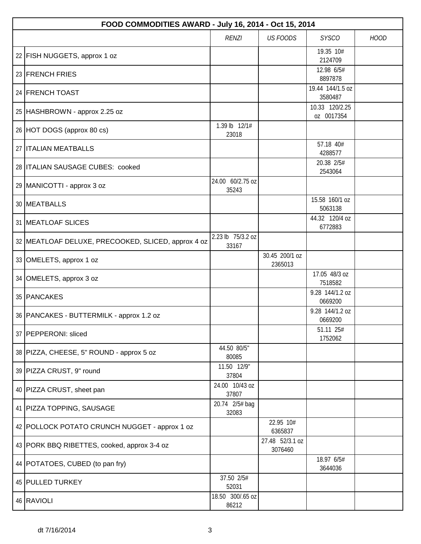| FOOD COMMODITIES AWARD - July 16, 2014 - Oct 15, 2014 |                            |                            |                              |             |  |  |  |
|-------------------------------------------------------|----------------------------|----------------------------|------------------------------|-------------|--|--|--|
|                                                       | <b>RENZI</b>               | <b>US FOODS</b>            | <b>SYSCO</b>                 | <b>HOOD</b> |  |  |  |
| 22 FISH NUGGETS, approx 1 oz                          |                            |                            | 19.35 10#<br>2124709         |             |  |  |  |
| 23 FRENCH FRIES                                       |                            |                            | 12.98 6/5#<br>8897878        |             |  |  |  |
| 24 FRENCH TOAST                                       |                            |                            | 19.44 144/1.5 oz<br>3580487  |             |  |  |  |
| 25 HASHBROWN - approx 2.25 oz                         |                            |                            | 10.33 120/2.25<br>oz 0017354 |             |  |  |  |
| 26 HOT DOGS (approx 80 cs)                            | 1.39 lb 12/1#<br>23018     |                            |                              |             |  |  |  |
| 27   ITALIAN MEATBALLS                                |                            |                            | 57.18 40#<br>4288577         |             |  |  |  |
| 28   ITALIAN SAUSAGE CUBES: cooked                    |                            |                            | 20.38 2/5#<br>2543064        |             |  |  |  |
| 29 MANICOTTI - approx 3 oz                            | 24.00 60/2.75 oz<br>35243  |                            |                              |             |  |  |  |
| 30   MEATBALLS                                        |                            |                            | 15.58 160/1 oz<br>5063138    |             |  |  |  |
| 31 MEATLOAF SLICES                                    |                            |                            | 44.32 120/4 oz<br>6772883    |             |  |  |  |
| 32   MEATLOAF DELUXE, PRECOOKED, SLICED, approx 4 oz  | 2.23 lb 75/3.2 oz<br>33167 |                            |                              |             |  |  |  |
| 33 OMELETS, approx 1 oz                               |                            | 30.45 200/1 oz<br>2365013  |                              |             |  |  |  |
| 34 OMELETS, approx 3 oz                               |                            |                            | 17.05 48/3 oz<br>7518582     |             |  |  |  |
| 35 PANCAKES                                           |                            |                            | 9.28 144/1.2 oz<br>0669200   |             |  |  |  |
| 36 PANCAKES - BUTTERMILK - approx 1.2 oz              |                            |                            | 9.28 144/1.2 oz<br>0669200   |             |  |  |  |
| 37   PEPPERONI: sliced                                |                            |                            | 51.11 25#<br>1752062         |             |  |  |  |
| 38   PIZZA, CHEESE, 5" ROUND - approx 5 oz            | 44.50 80/5"<br>80085       |                            |                              |             |  |  |  |
| 39 PIZZA CRUST, 9" round                              | 11.50 12/9"<br>37804       |                            |                              |             |  |  |  |
| 40 PIZZA CRUST, sheet pan                             | 24.00 10/43 oz<br>37807    |                            |                              |             |  |  |  |
| 41   PIZZA TOPPING, SAUSAGE                           | 20.74 2/5# bag<br>32083    |                            |                              |             |  |  |  |
| 42 POLLOCK POTATO CRUNCH NUGGET - approx 1 oz         |                            | 22.95 10#<br>6365837       |                              |             |  |  |  |
| 43 PORK BBQ RIBETTES, cooked, approx 3-4 oz           |                            | 27.48 52/3.1 oz<br>3076460 |                              |             |  |  |  |
| 44   POTATOES, CUBED (to pan fry)                     |                            |                            | 18.97 6/5#<br>3644036        |             |  |  |  |
| 45 PULLED TURKEY                                      | 37.50 2/5#<br>52031        |                            |                              |             |  |  |  |
| 46 RAVIOLI                                            | 18.50 300/.65 oz<br>86212  |                            |                              |             |  |  |  |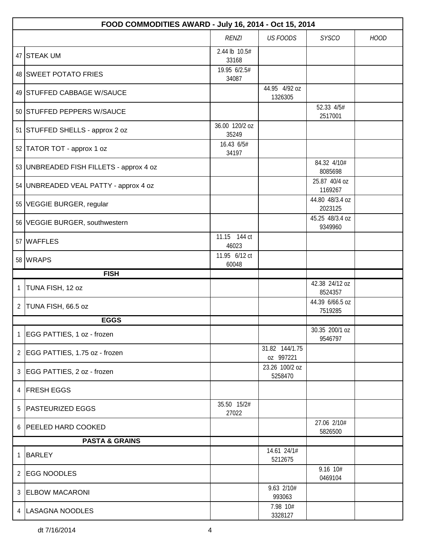|                | FOOD COMMODITIES AWARD - July 16, 2014 - Oct 15, 2014 |                         |                             |                            |             |  |  |
|----------------|-------------------------------------------------------|-------------------------|-----------------------------|----------------------------|-------------|--|--|
|                |                                                       | <b>RENZI</b>            | <b>US FOODS</b>             | <b>SYSCO</b>               | <b>HOOD</b> |  |  |
|                | 47 STEAK UM                                           | 2.44 lb 10.5#<br>33168  |                             |                            |             |  |  |
|                | 48 SWEET POTATO FRIES                                 | 19.95 6/2.5#<br>34087   |                             |                            |             |  |  |
|                | 49 STUFFED CABBAGE W/SAUCE                            |                         | 44.95 4/92 oz<br>1326305    |                            |             |  |  |
|                | 50 STUFFED PEPPERS W/SAUCE                            |                         |                             | 52.33 4/5#<br>2517001      |             |  |  |
|                | 51 STUFFED SHELLS - approx 2 oz                       | 36.00 120/2 oz<br>35249 |                             |                            |             |  |  |
|                | 52 TATOR TOT - approx 1 oz                            | 16.43 6/5#<br>34197     |                             |                            |             |  |  |
|                | 53 UNBREADED FISH FILLETS - approx 4 oz               |                         |                             | 84.32 4/10#<br>8085698     |             |  |  |
|                | 54   UNBREADED VEAL PATTY - approx 4 oz               |                         |                             | 25.87 40/4 oz<br>1169267   |             |  |  |
|                | 55   VEGGIE BURGER, regular                           |                         |                             | 44.80 48/3.4 oz<br>2023125 |             |  |  |
|                | 56 VEGGIE BURGER, southwestern                        |                         |                             | 45.25 48/3.4 oz<br>9349960 |             |  |  |
|                | 57 WAFFLES                                            | 11.15 144 ct<br>46023   |                             |                            |             |  |  |
|                | 58 WRAPS                                              | 11.95 6/12 ct<br>60048  |                             |                            |             |  |  |
|                | <b>FISH</b>                                           |                         |                             |                            |             |  |  |
| $\mathbf{1}$   | TUNA FISH, 12 oz                                      |                         |                             | 42.38 24/12 oz<br>8524357  |             |  |  |
| 2              | TUNA FISH, 66.5 oz                                    |                         |                             | 44.39 6/66.5 oz<br>7519285 |             |  |  |
|                | <b>EGGS</b>                                           |                         |                             |                            |             |  |  |
| 1              | EGG PATTIES, 1 oz - frozen                            |                         |                             | 30.35 200/1 oz<br>9546797  |             |  |  |
| $\overline{2}$ | EGG PATTIES, 1.75 oz - frozen                         |                         | 31.82 144/1.75<br>oz 997221 |                            |             |  |  |
| 3              | EGG PATTIES, 2 oz - frozen                            |                         | 23.26 100/2 oz<br>5258470   |                            |             |  |  |
| 4              | <b>FRESH EGGS</b>                                     |                         |                             |                            |             |  |  |
| 5              | <b>PASTEURIZED EGGS</b>                               | 35.50 15/2#<br>27022    |                             |                            |             |  |  |
| 6              | <b>PEELED HARD COOKED</b>                             |                         |                             | 27.06 2/10#<br>5826500     |             |  |  |
|                | <b>PASTA &amp; GRAINS</b>                             |                         |                             |                            |             |  |  |
| 1              | <b>BARLEY</b>                                         |                         | 14.61 24/1#<br>5212675      |                            |             |  |  |
| 2              | <b>EGG NOODLES</b>                                    |                         |                             | 9.16 10#<br>0469104        |             |  |  |
|                | 3 ELBOW MACARONI                                      |                         | 9.63 2/10#<br>993063        |                            |             |  |  |
|                | 4   LASAGNA NOODLES                                   |                         | 7.98 10#<br>3328127         |                            |             |  |  |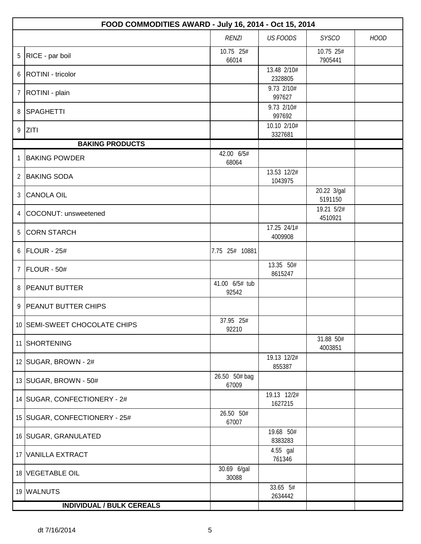|                | FOOD COMMODITIES AWARD - July 16, 2014 - Oct 15, 2014 |                         |                        |                        |             |  |  |
|----------------|-------------------------------------------------------|-------------------------|------------------------|------------------------|-------------|--|--|
|                |                                                       | <b>RENZI</b>            | <b>US FOODS</b>        | <b>SYSCO</b>           | <b>HOOD</b> |  |  |
| 5              | RICE - par boil                                       | 10.75 25#<br>66014      |                        | 10.75 25#<br>7905441   |             |  |  |
| 6              | ROTINI - tricolor                                     |                         | 13.48 2/10#<br>2328805 |                        |             |  |  |
| $\overline{7}$ | ROTINI - plain                                        |                         | 9.73 2/10#<br>997627   |                        |             |  |  |
| 8              | SPAGHETTI                                             |                         | 9.73 2/10#<br>997692   |                        |             |  |  |
| 9              | Z T                                                   |                         | 10.10 2/10#<br>3327681 |                        |             |  |  |
|                | <b>BAKING PRODUCTS</b>                                |                         |                        |                        |             |  |  |
| 1              | <b>BAKING POWDER</b>                                  | 42.00 6/5#<br>68064     |                        |                        |             |  |  |
| $\overline{2}$ | <b>BAKING SODA</b>                                    |                         | 13.53 12/2#<br>1043975 |                        |             |  |  |
| $\mathfrak{Z}$ | CANOLA OIL                                            |                         |                        | 20.22 3/gal<br>5191150 |             |  |  |
| 4              | COCONUT: unsweetened                                  |                         |                        | 19.21 5/2#<br>4510921  |             |  |  |
| 5              | <b>CORN STARCH</b>                                    |                         | 17.25 24/1#<br>4009908 |                        |             |  |  |
| 6              | FLOUR - 25#                                           | 7.75 25# 10881          |                        |                        |             |  |  |
| $\overline{7}$ | FLOUR - 50#                                           |                         | 13.35 50#<br>8615247   |                        |             |  |  |
| 8              | <b>PEANUT BUTTER</b>                                  | 41.00 6/5# tub<br>92542 |                        |                        |             |  |  |
|                | 9   PEANUT BUTTER CHIPS                               |                         |                        |                        |             |  |  |
|                | 10 SEMI-SWEET CHOCOLATE CHIPS                         | 37.95 25#<br>92210      |                        |                        |             |  |  |
|                | 11 SHORTENING                                         |                         |                        | 31.88 50#<br>4003851   |             |  |  |
|                | 12 SUGAR, BROWN - 2#                                  |                         | 19.13 12/2#<br>855387  |                        |             |  |  |
|                | 13 SUGAR, BROWN - 50#                                 | 26.50 50# bag<br>67009  |                        |                        |             |  |  |
|                | 14 SUGAR, CONFECTIONERY - 2#                          |                         | 19.13 12/2#<br>1627215 |                        |             |  |  |
|                | 15   SUGAR, CONFECTIONERY - 25#                       | 26.50 50#<br>67007      |                        |                        |             |  |  |
|                | 16 SUGAR, GRANULATED                                  |                         | 19.68 50#<br>8383283   |                        |             |  |  |
|                | 17 VANILLA EXTRACT                                    |                         | 4.55 gal<br>761346     |                        |             |  |  |
|                | 18 VEGETABLE OIL                                      | 30.69 6/gal<br>30088    |                        |                        |             |  |  |
|                | 19 WALNUTS                                            |                         | 33.65 5#<br>2634442    |                        |             |  |  |
|                | <b>INDIVIDUAL / BULK CEREALS</b>                      |                         |                        |                        |             |  |  |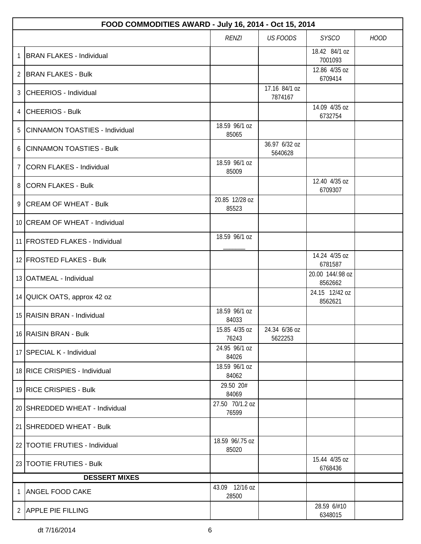|             | FOOD COMMODITIES AWARD - July 16, 2014 - Oct 15, 2014 |                          |                          |                             |             |  |  |
|-------------|-------------------------------------------------------|--------------------------|--------------------------|-----------------------------|-------------|--|--|
|             |                                                       | <b>RENZI</b>             | <b>US FOODS</b>          | <b>SYSCO</b>                | <b>HOOD</b> |  |  |
| 1           | <b>BRAN FLAKES - Individual</b>                       |                          |                          | 18.42 84/1 oz<br>7001093    |             |  |  |
| 2           | <b>BRAN FLAKES - Bulk</b>                             |                          |                          | 12.86 4/35 oz<br>6709414    |             |  |  |
|             | 3 CHEERIOS - Individual                               |                          | 17.16 84/1 oz<br>7874167 |                             |             |  |  |
|             | 4 CHEERIOS - Bulk                                     |                          |                          | 14.09 4/35 oz<br>6732754    |             |  |  |
| 5           | CINNAMON TOASTIES - Individual                        | 18.59 96/1 oz<br>85065   |                          |                             |             |  |  |
| 6           | <b>CINNAMON TOASTIES - Bulk</b>                       |                          | 36.97 6/32 oz<br>5640628 |                             |             |  |  |
| $7^{\circ}$ | CORN FLAKES - Individual                              | 18.59 96/1 oz<br>85009   |                          |                             |             |  |  |
|             | 8 CORN FLAKES - Bulk                                  |                          |                          | 12.40 4/35 oz<br>6709307    |             |  |  |
|             | 9 CREAM OF WHEAT - Bulk                               | 20.85 12/28 oz<br>85523  |                          |                             |             |  |  |
|             | 10 CREAM OF WHEAT - Individual                        |                          |                          |                             |             |  |  |
|             | 11 FROSTED FLAKES - Individual                        | 18.59 96/1 oz            |                          |                             |             |  |  |
|             | 12 FROSTED FLAKES - Bulk                              |                          |                          | 14.24 4/35 oz<br>6781587    |             |  |  |
|             | 13 OATMEAL - Individual                               |                          |                          | 20.00 144/.98 oz<br>8562662 |             |  |  |
|             | 14 QUICK OATS, approx 42 oz                           |                          |                          | 24.15 12/42 oz<br>8562621   |             |  |  |
|             | 15 RAISIN BRAN - Individual                           | 18.59 96/1 oz<br>84033   |                          |                             |             |  |  |
|             | 16 RAISIN BRAN - Bulk                                 | 15.85 4/35 oz<br>76243   | 24.34 6/36 oz<br>5622253 |                             |             |  |  |
|             | 17 SPECIAL K - Individual                             | 24.95 96/1 oz<br>84026   |                          |                             |             |  |  |
|             | 18 RICE CRISPIES - Individual                         | 18.59 96/1 oz<br>84062   |                          |                             |             |  |  |
|             | 19 RICE CRISPIES - Bulk                               | 29.50 20#<br>84069       |                          |                             |             |  |  |
|             | 20 SHREDDED WHEAT - Individual                        | 27.50 70/1.2 oz<br>76599 |                          |                             |             |  |  |
|             | 21   SHREDDED WHEAT - Bulk                            |                          |                          |                             |             |  |  |
|             | 22   TOOTIE FRUTIES - Individual                      | 18.59 96/.75 oz<br>85020 |                          |                             |             |  |  |
|             | 23 TOOTIE FRUTIES - Bulk                              |                          |                          | 15.44 4/35 oz<br>6768436    |             |  |  |
|             | <b>DESSERT MIXES</b>                                  |                          |                          |                             |             |  |  |
| 1           | <b>ANGEL FOOD CAKE</b>                                | 43.09 12/16 oz<br>28500  |                          |                             |             |  |  |
|             | 2 APPLE PIE FILLING                                   |                          |                          | 28.59 6/#10<br>6348015      |             |  |  |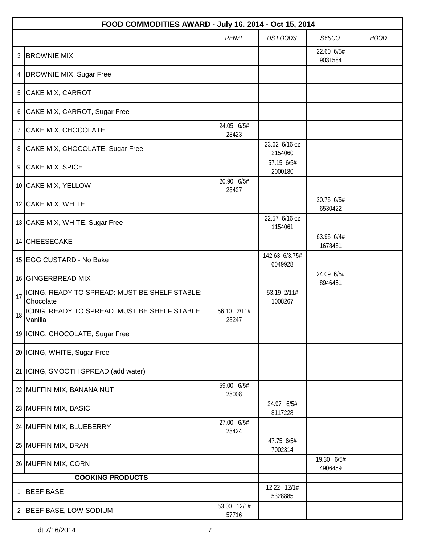|    | FOOD COMMODITIES AWARD - July 16, 2014 - Oct 15, 2014      |                      |                           |                       |             |  |  |
|----|------------------------------------------------------------|----------------------|---------------------------|-----------------------|-------------|--|--|
|    |                                                            | <b>RENZI</b>         | <b>US FOODS</b>           | <b>SYSCO</b>          | <b>HOOD</b> |  |  |
| 3  | <b>BROWNIE MIX</b>                                         |                      |                           | 22.60 6/5#<br>9031584 |             |  |  |
| 4  | <b>BROWNIE MIX, Sugar Free</b>                             |                      |                           |                       |             |  |  |
| 5  | CAKE MIX, CARROT                                           |                      |                           |                       |             |  |  |
| 6  | CAKE MIX, CARROT, Sugar Free                               |                      |                           |                       |             |  |  |
| 7  | CAKE MIX, CHOCOLATE                                        | 24.05 6/5#<br>28423  |                           |                       |             |  |  |
| 8  | CAKE MIX, CHOCOLATE, Sugar Free                            |                      | 23.62 6/16 oz<br>2154060  |                       |             |  |  |
| 9  | CAKE MIX, SPICE                                            |                      | 57.15 6/5#<br>2000180     |                       |             |  |  |
|    | 10 CAKE MIX, YELLOW                                        | 20.90 6/5#<br>28427  |                           |                       |             |  |  |
|    | 12 CAKE MIX, WHITE                                         |                      |                           | 20.75 6/5#<br>6530422 |             |  |  |
|    | 13 CAKE MIX, WHITE, Sugar Free                             |                      | 22.57 6/16 oz<br>1154061  |                       |             |  |  |
|    | 14 CHEESECAKE                                              |                      |                           | 63.95 6/4#<br>1678481 |             |  |  |
|    | 15 EGG CUSTARD - No Bake                                   |                      | 142.63 6/3.75#<br>6049928 |                       |             |  |  |
|    | 16 GINGERBREAD MIX                                         |                      |                           | 24.09 6/5#<br>8946451 |             |  |  |
| 17 | ICING, READY TO SPREAD: MUST BE SHELF STABLE:<br>Chocolate |                      | 53.19 2/11#<br>1008267    |                       |             |  |  |
| 18 | ICING, READY TO SPREAD: MUST BE SHELF STABLE :<br>Vanilla  | 56.10 2/11#<br>28247 |                           |                       |             |  |  |
|    | 19   ICING, CHOCOLATE, Sugar Free                          |                      |                           |                       |             |  |  |
|    | 20   ICING, WHITE, Sugar Free                              |                      |                           |                       |             |  |  |
|    | 21   ICING, SMOOTH SPREAD (add water)                      |                      |                           |                       |             |  |  |
|    | 22 MUFFIN MIX, BANANA NUT                                  | 59.00 6/5#<br>28008  |                           |                       |             |  |  |
|    | 23 MUFFIN MIX, BASIC                                       |                      | 24.97 6/5#<br>8117228     |                       |             |  |  |
|    | 24 MUFFIN MIX, BLUEBERRY                                   | 27.00 6/5#<br>28424  |                           |                       |             |  |  |
|    | 25 MUFFIN MIX, BRAN                                        |                      | 47.75 6/5#<br>7002314     |                       |             |  |  |
|    | 26 MUFFIN MIX, CORN                                        |                      |                           | 19.30 6/5#<br>4906459 |             |  |  |
|    | <b>COOKING PRODUCTS</b>                                    |                      |                           |                       |             |  |  |
| 1  | <b>BEEF BASE</b>                                           |                      | 12.22 12/1#<br>5328885    |                       |             |  |  |
| 2  | <b>BEEF BASE, LOW SODIUM</b>                               | 53.00 12/1#<br>57716 |                           |                       |             |  |  |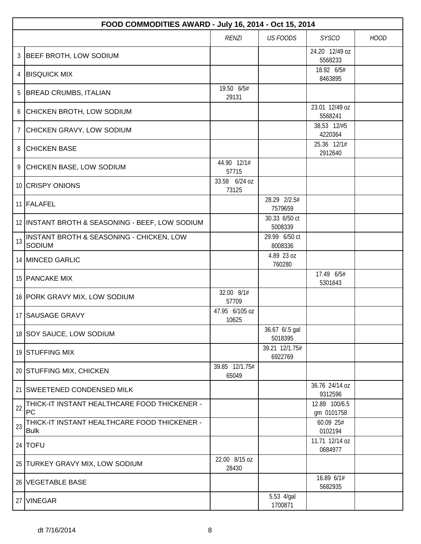|             | FOOD COMMODITIES AWARD - July 16, 2014 - Oct 15, 2014       |                         |                           |                             |             |  |  |
|-------------|-------------------------------------------------------------|-------------------------|---------------------------|-----------------------------|-------------|--|--|
|             |                                                             | <b>RENZI</b>            | <b>US FOODS</b>           | <b>SYSCO</b>                | <b>HOOD</b> |  |  |
| 3           | <b>BEEF BROTH, LOW SODIUM</b>                               |                         |                           | 24.20 12/49 oz<br>5568233   |             |  |  |
| 4           | <b>BISQUICK MIX</b>                                         |                         |                           | 18.92 6/5#                  |             |  |  |
|             |                                                             |                         |                           | 8463895                     |             |  |  |
| 5           | <b>BREAD CRUMBS, ITALIAN</b>                                | 19.50 6/5#<br>29131     |                           |                             |             |  |  |
|             | 6 CHICKEN BROTH, LOW SODIUM                                 |                         |                           | 23.01 12/49 oz<br>5568241   |             |  |  |
| $7^{\circ}$ | CHICKEN GRAVY, LOW SODIUM                                   |                         |                           | 38.53 12/#5<br>4220364      |             |  |  |
|             | 8 CHICKEN BASE                                              |                         |                           | 25.36 12/1#<br>2912640      |             |  |  |
|             | 9 CHICKEN BASE, LOW SODIUM                                  | 44.90 12/1#<br>57715    |                           |                             |             |  |  |
|             | 10 CRISPY ONIONS                                            | 33.58 6/24 oz<br>73125  |                           |                             |             |  |  |
|             | 11 FALAFEL                                                  |                         | 28.29 2/2.5#<br>7579659   |                             |             |  |  |
|             | 12 INSTANT BROTH & SEASONING - BEEF, LOW SODIUM             |                         | 30.33 6/50 ct<br>5008339  |                             |             |  |  |
| 13          | INSTANT BROTH & SEASONING - CHICKEN, LOW<br>SODIUM          |                         | 29.99 6/50 ct<br>8008336  |                             |             |  |  |
|             | 14 MINCED GARLIC                                            |                         | 4.89 23 oz<br>760280      |                             |             |  |  |
|             | 15 PANCAKE MIX                                              |                         |                           | 17.49 6/5#<br>5301643       |             |  |  |
|             | 16 PORK GRAVY MIX, LOW SODIUM                               | 32.00 8/1#<br>57709     |                           |                             |             |  |  |
|             | 17 SAUSAGE GRAVY                                            | 47.95 6/105 oz<br>10625 |                           |                             |             |  |  |
|             | 18 SOY SAUCE, LOW SODIUM                                    |                         | 36.67 6/.5 gal<br>5018395 |                             |             |  |  |
|             | 19 STUFFING MIX                                             |                         | 39.21 12/1.75#<br>6922769 |                             |             |  |  |
|             | 20 STUFFING MIX, CHICKEN                                    | 39.85 12/1.75#<br>65049 |                           |                             |             |  |  |
|             | 21 SWEETENED CONDENSED MILK                                 |                         |                           | 36.76 24/14 oz<br>9312596   |             |  |  |
| 22          | THICK-IT INSTANT HEALTHCARE FOOD THICKENER -<br>PC          |                         |                           | 12.89 100/6.5<br>gm 0101758 |             |  |  |
| 23          | THICK-IT INSTANT HEALTHCARE FOOD THICKENER -<br><b>Bulk</b> |                         |                           | 60.09 25#<br>0102194        |             |  |  |
|             | 24   TOFU                                                   |                         |                           | 11.71 12/14 oz<br>0684977   |             |  |  |
|             | 25 TURKEY GRAVY MIX, LOW SODIUM                             | 22.00 8/15 oz<br>28430  |                           |                             |             |  |  |
|             | 26 VEGETABLE BASE                                           |                         |                           | 16.89 6/1#<br>5682935       |             |  |  |
|             | 27 VINEGAR                                                  |                         | 5.53 4/gal<br>1700871     |                             |             |  |  |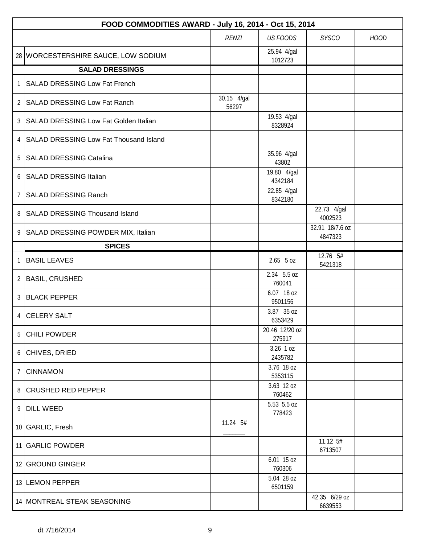|                | FOOD COMMODITIES AWARD - July 16, 2014 - Oct 15, 2014 |                      |                          |                            |             |  |  |
|----------------|-------------------------------------------------------|----------------------|--------------------------|----------------------------|-------------|--|--|
|                |                                                       | <b>RENZI</b>         | <b>US FOODS</b>          | <b>SYSCO</b>               | <b>HOOD</b> |  |  |
|                | 28 WORCESTERSHIRE SAUCE, LOW SODIUM                   |                      | 25.94 4/gal<br>1012723   |                            |             |  |  |
|                | <b>SALAD DRESSINGS</b>                                |                      |                          |                            |             |  |  |
| $\mathbf{1}$   | <b>SALAD DRESSING Low Fat French</b>                  |                      |                          |                            |             |  |  |
|                | 2 SALAD DRESSING Low Fat Ranch                        | 30.15 4/gal<br>56297 |                          |                            |             |  |  |
| 3              | SALAD DRESSING Low Fat Golden Italian                 |                      | 19.53 4/gal<br>8328924   |                            |             |  |  |
| 4              | SALAD DRESSING Low Fat Thousand Island                |                      |                          |                            |             |  |  |
| 5              | <b>SALAD DRESSING Catalina</b>                        |                      | 35.96 4/gal<br>43802     |                            |             |  |  |
|                | 6 SALAD DRESSING Italian                              |                      | 19.80 4/gal<br>4342184   |                            |             |  |  |
| $\overline{7}$ | <b>SALAD DRESSING Ranch</b>                           |                      | 22.85 4/gal<br>8342180   |                            |             |  |  |
| 8              | <b>SALAD DRESSING Thousand Island</b>                 |                      |                          | 22.73 4/gal<br>4002523     |             |  |  |
| 9              | SALAD DRESSING POWDER MIX, Italian                    |                      |                          | 32.91 18/7.6 oz<br>4847323 |             |  |  |
|                | <b>SPICES</b>                                         |                      |                          |                            |             |  |  |
| $\mathbf{1}$   | <b>BASIL LEAVES</b>                                   |                      | $2.65$ 5 oz              | 12.76 5#<br>5421318        |             |  |  |
| $\overline{2}$ | <b>BASIL, CRUSHED</b>                                 |                      | 2.34 5.5 oz<br>760041    |                            |             |  |  |
| 3              | <b>BLACK PEPPER</b>                                   |                      | 6.07 18 oz<br>9501156    |                            |             |  |  |
| $\overline{4}$ | <b>CELERY SALT</b>                                    |                      | 3.87 35 oz<br>6353429    |                            |             |  |  |
| 5              | <b>CHILI POWDER</b>                                   |                      | 20.46 12/20 oz<br>275917 |                            |             |  |  |
|                | 6 CHIVES, DRIED                                       |                      | 3.26 1 oz<br>2435782     |                            |             |  |  |
|                | 7 CINNAMON                                            |                      | 3.76 18 oz<br>5353115    |                            |             |  |  |
|                | 8 CRUSHED RED PEPPER                                  |                      | 3.63 12 oz<br>760462     |                            |             |  |  |
|                | 9 DILL WEED                                           |                      | 5.53 5.5 oz<br>778423    |                            |             |  |  |
|                | 10 GARLIC, Fresh                                      | 11.24 5#             |                          |                            |             |  |  |
|                | 11 GARLIC POWDER                                      |                      |                          | 11.12 5#<br>6713507        |             |  |  |
|                | 12 GROUND GINGER                                      |                      | 6.01 15 oz<br>760306     |                            |             |  |  |
|                | 13 LEMON PEPPER                                       |                      | 5.04 28 oz<br>6501159    |                            |             |  |  |
|                | 14   MONTREAL STEAK SEASONING                         |                      |                          | 42.35 6/29 oz<br>6639553   |             |  |  |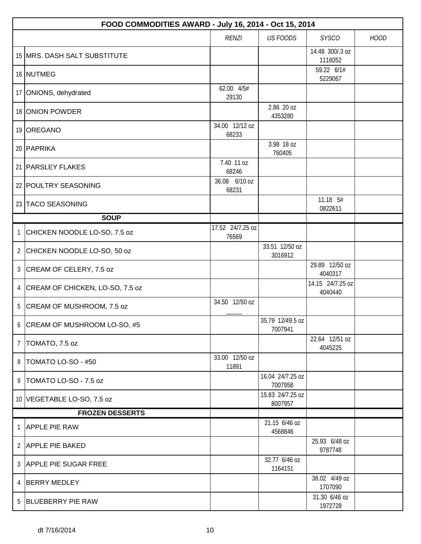|                | FOOD COMMODITIES AWARD - July 16, 2014 - Oct 15, 2014 |                           |                             |                             |             |  |  |
|----------------|-------------------------------------------------------|---------------------------|-----------------------------|-----------------------------|-------------|--|--|
|                |                                                       | <b>RENZI</b>              | <b>US FOODS</b>             | <b>SYSCO</b>                | <b>HOOD</b> |  |  |
|                | 15 MRS. DASH SALT SUBSTITUTE                          |                           |                             | 14.48 300/.3 oz<br>1116052  |             |  |  |
|                | 16 NUTMEG                                             |                           |                             | 59.22 6/1#<br>5229067       |             |  |  |
|                | 17 ONIONS, dehydrated                                 | 62.00 4/5#<br>29130       |                             |                             |             |  |  |
|                | 18 ONION POWDER                                       |                           | 2.86 20 oz<br>4353280       |                             |             |  |  |
|                | 19 OREGANO                                            | 34.00 12/12 oz<br>68233   |                             |                             |             |  |  |
|                | 20 PAPRIKA                                            |                           | 3.98 18 oz<br>760405        |                             |             |  |  |
|                | 21   PARSLEY FLAKES                                   | 7.40 11 oz<br>68246       |                             |                             |             |  |  |
|                | 22 POULTRY SEASONING                                  | 36.08 6/10 oz<br>68231    |                             |                             |             |  |  |
|                | 23 TACO SEASONING                                     |                           |                             | 11.18 5#<br>0822611         |             |  |  |
|                | <b>SOUP</b>                                           |                           |                             |                             |             |  |  |
| 1              | CHICKEN NOODLE LO-SO, 7.5 oz                          | 17.52 24/7.25 oz<br>76569 |                             |                             |             |  |  |
|                | 2 CHICKEN NOODLE LO-SO, 50 oz                         |                           | 33.51 12/50 oz<br>3016912   |                             |             |  |  |
| $\mathfrak{Z}$ | CREAM OF CELERY, 7.5 oz                               |                           |                             | 29.89 12/50 oz<br>4040317   |             |  |  |
| $\overline{4}$ | CREAM OF CHICKEN, LO-SO, 7.5 oz                       |                           |                             | 14.15 24/7.25 oz<br>4040440 |             |  |  |
|                | 5 CREAM OF MUSHROOM, 7.5 oz                           | 34.50 12/50 oz            |                             |                             |             |  |  |
| 6              | CREAM OF MUSHROOM LO-SO, #5                           |                           | 35.79 12/49.5 oz<br>7007941 |                             |             |  |  |
| $\overline{7}$ | TOMATO, 7.5 oz                                        |                           |                             | 22.64 12/51 oz<br>4045225   |             |  |  |
| 8              | TOMATO LO-SO - #50                                    | 33.00 12/50 oz<br>11891   |                             |                             |             |  |  |
| 9              | TOMATO LO-SO - 7.5 oz                                 |                           | 16.04 24/7.25 oz<br>7007958 |                             |             |  |  |
|                | 10 VEGETABLE LO-SO, 7.5 oz                            |                           | 15.83 24/7.25 oz<br>8007957 |                             |             |  |  |
|                | <b>FROZEN DESSERTS</b>                                |                           |                             |                             |             |  |  |
| 1              | <b>APPLE PIE RAW</b>                                  |                           | 21.15 6/46 oz<br>4568846    |                             |             |  |  |
|                | 2 APPLE PIE BAKED                                     |                           |                             | 25.93 6/48 oz<br>9787748    |             |  |  |
|                | 3 APPLE PIE SUGAR FREE                                |                           | 32.77 6/46 oz<br>1164151    |                             |             |  |  |
| 4              | <b>BERRY MEDLEY</b>                                   |                           |                             | 38.02 4/49 oz<br>1707090    |             |  |  |
| 5              | <b>BLUEBERRY PIE RAW</b>                              |                           |                             | 31.30 6/46 oz<br>1972728    |             |  |  |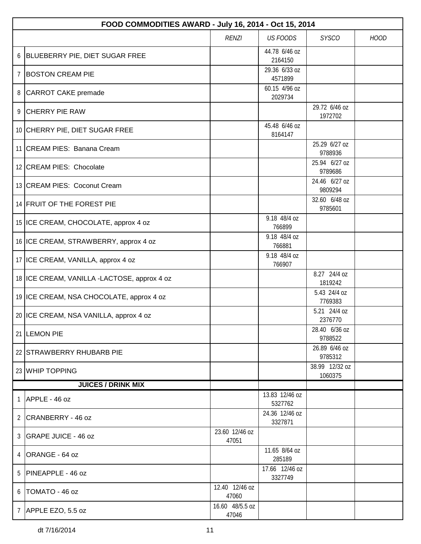|                | FOOD COMMODITIES AWARD - July 16, 2014 - Oct 15, 2014 |                          |                           |                           |             |  |  |  |
|----------------|-------------------------------------------------------|--------------------------|---------------------------|---------------------------|-------------|--|--|--|
|                |                                                       | <b>RENZI</b>             | <b>US FOODS</b>           | <b>SYSCO</b>              | <b>HOOD</b> |  |  |  |
| 6              | BLUEBERRY PIE, DIET SUGAR FREE                        |                          | 44.78 6/46 oz<br>2164150  |                           |             |  |  |  |
| 7              | <b>BOSTON CREAM PIE</b>                               |                          | 29.36 6/33 oz<br>4571899  |                           |             |  |  |  |
| 8              | CARROT CAKE premade                                   |                          | 60.15 4/96 oz<br>2029734  |                           |             |  |  |  |
| 9              | <b>CHERRY PIE RAW</b>                                 |                          |                           | 29.72 6/46 oz<br>1972702  |             |  |  |  |
|                | 10 CHERRY PIE, DIET SUGAR FREE                        |                          | 45.48 6/46 oz<br>8164147  |                           |             |  |  |  |
|                | 11 CREAM PIES: Banana Cream                           |                          |                           | 25.29 6/27 oz<br>9788936  |             |  |  |  |
|                | 12 CREAM PIES: Chocolate                              |                          |                           | 25.94 6/27 oz<br>9789686  |             |  |  |  |
|                | 13 CREAM PIES: Coconut Cream                          |                          |                           | 24.46 6/27 oz<br>9809294  |             |  |  |  |
|                | 14 FRUIT OF THE FOREST PIE                            |                          |                           | 32.60 6/48 oz<br>9785601  |             |  |  |  |
|                | 15 ICE CREAM, CHOCOLATE, approx 4 oz                  |                          | 9.18 48/4 oz<br>766899    |                           |             |  |  |  |
|                | 16 ICE CREAM, STRAWBERRY, approx 4 oz                 |                          | 9.18 48/4 oz<br>766881    |                           |             |  |  |  |
|                | 17 ICE CREAM, VANILLA, approx 4 oz                    |                          | 9.18 48/4 oz<br>766907    |                           |             |  |  |  |
|                | 18 ICE CREAM, VANILLA -LACTOSE, approx 4 oz           |                          |                           | 8.27 24/4 oz<br>1819242   |             |  |  |  |
|                | 19 ICE CREAM, NSA CHOCOLATE, approx 4 oz              |                          |                           | 5.43 24/4 oz<br>7769383   |             |  |  |  |
|                | 20 ICE CREAM, NSA VANILLA, approx 4 oz                |                          |                           | 5.21 24/4 oz<br>2376770   |             |  |  |  |
|                | 21 LEMON PIE                                          |                          |                           | 28.40 6/36 oz<br>9788522  |             |  |  |  |
|                | 22 STRAWBERRY RHUBARB PIE                             |                          |                           | 26.89 6/46 oz<br>9785312  |             |  |  |  |
|                | 23 WHIP TOPPING                                       |                          |                           | 38.99 12/32 oz<br>1060375 |             |  |  |  |
|                | <b>JUICES / DRINK MIX</b>                             |                          |                           |                           |             |  |  |  |
|                | 1 $APPLE - 46 oz$                                     |                          | 13.83 12/46 oz<br>5327762 |                           |             |  |  |  |
|                | 2 CRANBERRY - 46 oz                                   |                          | 24.36 12/46 oz<br>3327871 |                           |             |  |  |  |
|                | 3 GRAPE JUICE - 46 oz                                 | 23.60 12/46 oz<br>47051  |                           |                           |             |  |  |  |
|                | 4 $ ORANGE - 64 oz$                                   |                          | 11.65 8/64 oz<br>285189   |                           |             |  |  |  |
| 5              | <b>PINEAPPLE - 46 oz</b>                              |                          | 17.66 12/46 oz<br>3327749 |                           |             |  |  |  |
| 6              | TOMATO - 46 oz                                        | 12.40 12/46 oz<br>47060  |                           |                           |             |  |  |  |
| $\overline{7}$ | APPLE EZO, 5.5 oz                                     | 16.60 48/5.5 oz<br>47046 |                           |                           |             |  |  |  |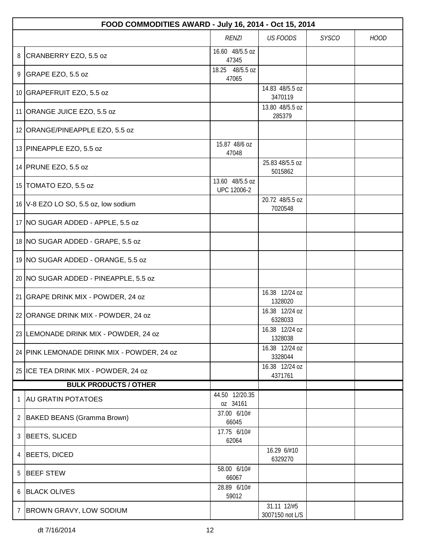|                | FOOD COMMODITIES AWARD - July 16, 2014 - Oct 15, 2014 |                                |                                |              |             |  |  |
|----------------|-------------------------------------------------------|--------------------------------|--------------------------------|--------------|-------------|--|--|
|                |                                                       | <b>RENZI</b>                   | <b>US FOODS</b>                | <b>SYSCO</b> | <b>HOOD</b> |  |  |
|                | 8 CRANBERRY EZO, 5.5 oz                               | 16.60 48/5.5 oz<br>47345       |                                |              |             |  |  |
| 9              | GRAPE EZO, 5.5 oz                                     | 18.25 48/5.5 oz<br>47065       |                                |              |             |  |  |
|                | 10 GRAPEFRUIT EZO, 5.5 oz                             |                                | 14.83 48/5.5 oz<br>3470119     |              |             |  |  |
|                | 11 ORANGE JUICE EZO, 5.5 oz                           |                                | 13.80 48/5.5 oz<br>285379      |              |             |  |  |
|                | 12 ORANGE/PINEAPPLE EZO, 5.5 oz                       |                                |                                |              |             |  |  |
|                | 13 PINEAPPLE EZO, 5.5 oz                              | 15.87 48/6 oz<br>47048         |                                |              |             |  |  |
|                | 14 PRUNE EZO, 5.5 oz                                  |                                | 25.83 48/5.5 oz<br>5015862     |              |             |  |  |
|                | 15 TOMATO EZO, 5.5 oz                                 | 13.60 48/5.5 oz<br>UPC 12006-2 |                                |              |             |  |  |
|                | 16   V-8 EZO LO SO, 5.5 oz, low sodium                |                                | 20.72 48/5.5 oz<br>7020548     |              |             |  |  |
|                | 17 NO SUGAR ADDED - APPLE, 5.5 oz                     |                                |                                |              |             |  |  |
|                | 18   NO SUGAR ADDED - GRAPE, 5.5 oz                   |                                |                                |              |             |  |  |
|                | 19   NO SUGAR ADDED - ORANGE, 5.5 oz                  |                                |                                |              |             |  |  |
|                | 20 NO SUGAR ADDED - PINEAPPLE, 5.5 oz                 |                                |                                |              |             |  |  |
|                | 21 GRAPE DRINK MIX - POWDER, 24 oz                    |                                | 16.38 12/24 oz<br>1328020      |              |             |  |  |
|                | 22 ORANGE DRINK MIX - POWDER, 24 oz                   |                                | 16.38 12/24 oz<br>6328033      |              |             |  |  |
|                | 23 LEMONADE DRINK MIX - POWDER, 24 oz                 |                                | 16.38 12/24 oz<br>1328038      |              |             |  |  |
|                | 24 PINK LEMONADE DRINK MIX - POWDER, 24 oz            |                                | 16.38 12/24 oz<br>3328044      |              |             |  |  |
|                | 25 ICE TEA DRINK MIX - POWDER, 24 oz                  |                                | 16.38 12/24 oz<br>4371761      |              |             |  |  |
|                | <b>BULK PRODUCTS / OTHER</b>                          |                                |                                |              |             |  |  |
| $\mathbf{1}$   | <b>AU GRATIN POTATOES</b>                             | 44.50 12/20.35<br>oz 34161     |                                |              |             |  |  |
|                | 2   BAKED BEANS (Gramma Brown)                        | 37.00 6/10#<br>66045           |                                |              |             |  |  |
| $\mathfrak{Z}$ | BEETS, SLICED                                         | 17.75 6/10#<br>62064           |                                |              |             |  |  |
| 4              | BEETS, DICED                                          |                                | 16.29 6/#10<br>6329270         |              |             |  |  |
| 5              | <b>BEEF STEW</b>                                      | 58.00 6/10#<br>66067           |                                |              |             |  |  |
| 6              | <b>BLACK OLIVES</b>                                   | 28.89 6/10#<br>59012           |                                |              |             |  |  |
| $\overline{7}$ | <b>BROWN GRAVY, LOW SODIUM</b>                        |                                | 31.11 12/#5<br>3007150 not L/S |              |             |  |  |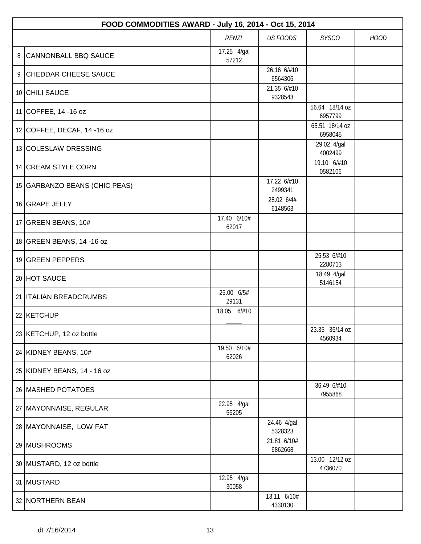|                                                                | FOOD COMMODITIES AWARD - July 16, 2014 - Oct 15, 2014 |                      |                        |                           |  |  |  |
|----------------------------------------------------------------|-------------------------------------------------------|----------------------|------------------------|---------------------------|--|--|--|
| <b>US FOODS</b><br><b>RENZI</b><br><b>SYSCO</b><br><b>HOOD</b> |                                                       |                      |                        |                           |  |  |  |
| 8                                                              | <b>CANNONBALL BBQ SAUCE</b>                           | 17.25 4/gal<br>57212 |                        |                           |  |  |  |
|                                                                | 9 CHEDDAR CHEESE SAUCE                                |                      | 26.16 6/#10<br>6564306 |                           |  |  |  |
|                                                                | 10 CHILI SAUCE                                        |                      | 21.35 6/#10<br>9328543 |                           |  |  |  |
|                                                                | 11 COFFEE, 14 -16 oz                                  |                      |                        | 56.64 18/14 oz<br>6957799 |  |  |  |
|                                                                | 12 COFFEE, DECAF, 14 -16 oz                           |                      |                        | 65.51 18/14 oz<br>6958045 |  |  |  |
|                                                                | 13 COLESLAW DRESSING                                  |                      |                        | 29.02 4/gal<br>4002499    |  |  |  |
|                                                                | 14 CREAM STYLE CORN                                   |                      |                        | 19.10 6/#10<br>0582106    |  |  |  |
|                                                                | 15 GARBANZO BEANS (CHIC PEAS)                         |                      | 17.22 6/#10<br>2499341 |                           |  |  |  |
|                                                                | 16 GRAPE JELLY                                        |                      | 28.02 6/4#<br>6148563  |                           |  |  |  |
|                                                                | 17 GREEN BEANS, 10#                                   | 17.40 6/10#<br>62017 |                        |                           |  |  |  |
|                                                                | 18 GREEN BEANS, 14 -16 oz                             |                      |                        |                           |  |  |  |
|                                                                | 19 GREEN PEPPERS                                      |                      |                        | 25.53 6/#10<br>2280713    |  |  |  |
|                                                                | 20 HOT SAUCE                                          |                      |                        | 18.49 4/gal<br>5146154    |  |  |  |
|                                                                | 21 <b>ITALIAN BREADCRUMBS</b>                         | 25.00 6/5#<br>29131  |                        |                           |  |  |  |
|                                                                | 22 KETCHUP                                            | 18.05 6/#10          |                        |                           |  |  |  |
|                                                                | 23 KETCHUP, 12 oz bottle                              |                      |                        | 23.35 36/14 oz<br>4560934 |  |  |  |
|                                                                | 24 KIDNEY BEANS, 10#                                  | 19.50 6/10#<br>62026 |                        |                           |  |  |  |
|                                                                | 25 KIDNEY BEANS, 14 - 16 oz                           |                      |                        |                           |  |  |  |
|                                                                | 26 MASHED POTATOES                                    |                      |                        | 36.49 6/#10<br>7955868    |  |  |  |
|                                                                | 27   MAYONNAISE, REGULAR                              | 22.95 4/gal<br>56205 |                        |                           |  |  |  |
|                                                                | 28 MAYONNAISE, LOW FAT                                |                      | 24.46 4/gal<br>5328323 |                           |  |  |  |
|                                                                | 29 MUSHROOMS                                          |                      | 21.81 6/10#<br>6862668 |                           |  |  |  |
|                                                                | 30 MUSTARD, 12 oz bottle                              |                      |                        | 13.00 12/12 oz<br>4736070 |  |  |  |
|                                                                | 31 MUSTARD                                            | 12.95 4/gal<br>30058 |                        |                           |  |  |  |
|                                                                | 32 NORTHERN BEAN                                      |                      | 13.11 6/10#<br>4330130 |                           |  |  |  |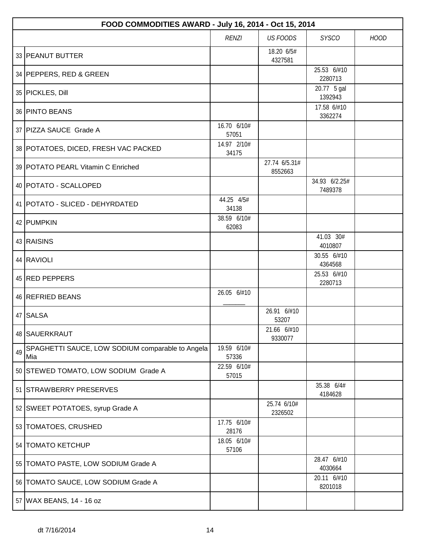|    | FOOD COMMODITIES AWARD - July 16, 2014 - Oct 15, 2014   |                      |                          |                          |             |  |  |
|----|---------------------------------------------------------|----------------------|--------------------------|--------------------------|-------------|--|--|
|    |                                                         | <b>RENZI</b>         | <b>US FOODS</b>          | <b>SYSCO</b>             | <b>HOOD</b> |  |  |
|    | 33 PEANUT BUTTER                                        |                      | 18.20 6/5#<br>4327581    |                          |             |  |  |
|    | 34 PEPPERS, RED & GREEN                                 |                      |                          | 25.53 6/#10<br>2280713   |             |  |  |
|    | 35 PICKLES, Dill                                        |                      |                          | 20.77 5 gal<br>1392943   |             |  |  |
|    | 36 PINTO BEANS                                          |                      |                          | 17.58 6/#10<br>3362274   |             |  |  |
|    | 37 PIZZA SAUCE Grade A                                  | 16.70 6/10#<br>57051 |                          |                          |             |  |  |
|    | 38 POTATOES, DICED, FRESH VAC PACKED                    | 14.97 2/10#<br>34175 |                          |                          |             |  |  |
|    | 39 POTATO PEARL Vitamin C Enriched                      |                      | 27.74 6/5.31#<br>8552663 |                          |             |  |  |
|    | 40   POTATO - SCALLOPED                                 |                      |                          | 34.93 6/2.25#<br>7489378 |             |  |  |
|    | 41   POTATO - SLICED - DEHYRDATED                       | 44.25 4/5#<br>34138  |                          |                          |             |  |  |
|    | 42 PUMPKIN                                              | 38.59 6/10#<br>62083 |                          |                          |             |  |  |
|    | 43 RAISINS                                              |                      |                          | 41.03 30#<br>4010807     |             |  |  |
|    | 44 RAVIOLI                                              |                      |                          | 30.55 6/#10<br>4364568   |             |  |  |
|    | 45 RED PEPPERS                                          |                      |                          | 25.53 6/#10<br>2280713   |             |  |  |
|    | 46 REFRIED BEANS                                        | 26.05 6/#10          |                          |                          |             |  |  |
|    | 47 SALSA                                                |                      | 26.91 6/#10<br>53207     |                          |             |  |  |
|    | 48   SAUERKRAUT                                         |                      | 21.66 6/#10<br>9330077   |                          |             |  |  |
| 49 | SPAGHETTI SAUCE, LOW SODIUM comparable to Angela<br>Mia | 19.59 6/10#<br>57336 |                          |                          |             |  |  |
|    | 50 STEWED TOMATO, LOW SODIUM Grade A                    | 22.59 6/10#<br>57015 |                          |                          |             |  |  |
|    | 51 STRAWBERRY PRESERVES                                 |                      |                          | 35.38 6/4#<br>4184628    |             |  |  |
|    | 52 SWEET POTATOES, syrup Grade A                        |                      | 25.74 6/10#<br>2326502   |                          |             |  |  |
|    | 53   TOMATOES, CRUSHED                                  | 17.75 6/10#<br>28176 |                          |                          |             |  |  |
|    | 54   TOMATO KETCHUP                                     | 18.05 6/10#<br>57106 |                          |                          |             |  |  |
|    | 55   TOMATO PASTE, LOW SODIUM Grade A                   |                      |                          | 28.47 6/#10<br>4030664   |             |  |  |
|    | 56 TOMATO SAUCE, LOW SODIUM Grade A                     |                      |                          | 20.11 6/#10<br>8201018   |             |  |  |
|    | 57 WAX BEANS, 14 - 16 oz                                |                      |                          |                          |             |  |  |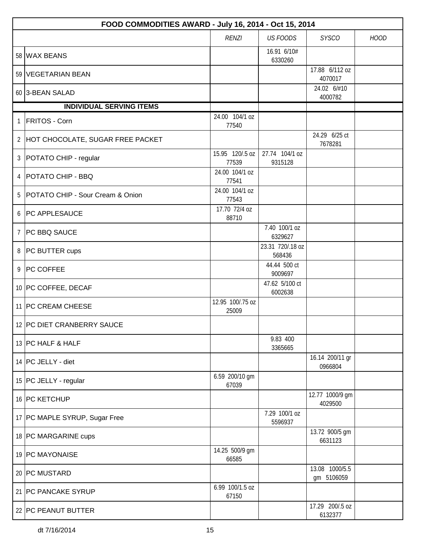|   | FOOD COMMODITIES AWARD - July 16, 2014 - Oct 15, 2014 |                           |                            |                              |             |  |  |  |
|---|-------------------------------------------------------|---------------------------|----------------------------|------------------------------|-------------|--|--|--|
|   |                                                       | <b>RENZI</b>              | <b>US FOODS</b>            | <b>SYSCO</b>                 | <b>HOOD</b> |  |  |  |
|   | 58 WAX BEANS                                          |                           | 16.91 6/10#<br>6330260     |                              |             |  |  |  |
|   | 59 VEGETARIAN BEAN                                    |                           |                            | 17.88 6/112 oz<br>4070017    |             |  |  |  |
|   | 60 3-BEAN SALAD                                       |                           |                            | 24.02 6/#10<br>4000782       |             |  |  |  |
|   | <b>INDIVIDUAL SERVING ITEMS</b>                       |                           |                            |                              |             |  |  |  |
| 1 | <b>FRITOS - Corn</b>                                  | 24.00 104/1 oz<br>77540   |                            |                              |             |  |  |  |
|   | 2 HOT CHOCOLATE, SUGAR FREE PACKET                    |                           |                            | 24.29 6/25 ct<br>7678281     |             |  |  |  |
|   | 3   POTATO CHIP - regular                             | 15.95 120/.5 oz<br>77539  | 27.74 104/1 oz<br>9315128  |                              |             |  |  |  |
|   | 4   POTATO CHIP - BBQ                                 | 24.00 104/1 oz<br>77541   |                            |                              |             |  |  |  |
| 5 | POTATO CHIP - Sour Cream & Onion                      | 24.00 104/1 oz<br>77543   |                            |                              |             |  |  |  |
| 6 | <b>PC APPLESAUCE</b>                                  | 17.70 72/4 oz<br>88710    |                            |                              |             |  |  |  |
| 7 | <b>PC BBQ SAUCE</b>                                   |                           | 7.40 100/1 oz<br>6329627   |                              |             |  |  |  |
|   | 8 PC BUTTER cups                                      |                           | 23.31 720/.18 oz<br>568436 |                              |             |  |  |  |
| 9 | <b>PC COFFEE</b>                                      |                           | 44.44 500 ct<br>9009697    |                              |             |  |  |  |
|   | 10 PC COFFEE, DECAF                                   |                           | 47.62 5/100 ct<br>6002638  |                              |             |  |  |  |
|   | 11 PC CREAM CHEESE                                    | 12.95 100/.75 oz<br>25009 |                            |                              |             |  |  |  |
|   | 12 PC DIET CRANBERRY SAUCE                            |                           |                            |                              |             |  |  |  |
|   | 13 PC HALF & HALF                                     |                           | 9.83 400<br>3365665        |                              |             |  |  |  |
|   | 14 PC JELLY - diet                                    |                           |                            | 16.14 200/11 gr<br>0966804   |             |  |  |  |
|   | 15   PC JELLY - regular                               | 6.59 200/10 gm<br>67039   |                            |                              |             |  |  |  |
|   | 16 PC KETCHUP                                         |                           |                            | 12.77 1000/9 gm<br>4029500   |             |  |  |  |
|   | 17 PC MAPLE SYRUP, Sugar Free                         |                           | 7.29 100/1 oz<br>5596937   |                              |             |  |  |  |
|   | 18 PC MARGARINE cups                                  |                           |                            | 13.72 900/5 gm<br>6631123    |             |  |  |  |
|   | 19 PC MAYONAISE                                       | 14.25 500/9 gm<br>66585   |                            |                              |             |  |  |  |
|   | 20 PC MUSTARD                                         |                           |                            | 13.08 1000/5.5<br>gm 5106059 |             |  |  |  |
|   | 21 PC PANCAKE SYRUP                                   | 6.99 100/1.5 oz<br>67150  |                            |                              |             |  |  |  |
|   | 22 PC PEANUT BUTTER                                   |                           |                            | 17.29 200/.5 oz<br>6132377   |             |  |  |  |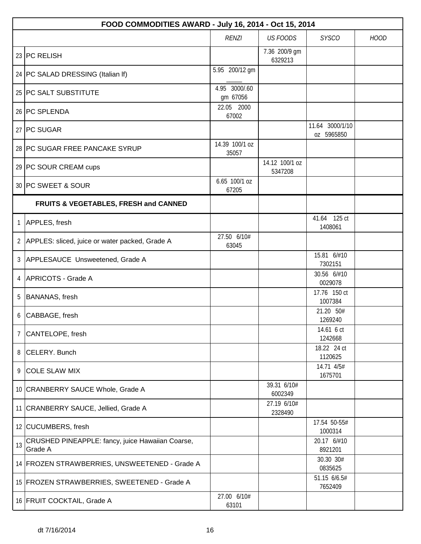|    | FOOD COMMODITIES AWARD - July 16, 2014 - Oct 15, 2014       |                           |                           |                               |             |  |  |
|----|-------------------------------------------------------------|---------------------------|---------------------------|-------------------------------|-------------|--|--|
|    |                                                             | <b>RENZI</b>              | <b>US FOODS</b>           | <b>SYSCO</b>                  | <b>HOOD</b> |  |  |
|    | 23 PC RELISH                                                |                           | 7.36 200/9 gm<br>6329213  |                               |             |  |  |
|    | 24   PC SALAD DRESSING (Italian If)                         | 5.95 200/12 gm            |                           |                               |             |  |  |
|    | 25 PC SALT SUBSTITUTE                                       | 4.95 3000/.60<br>gm 67056 |                           |                               |             |  |  |
|    | 26 PC SPLENDA                                               | 22.05 2000<br>67002       |                           |                               |             |  |  |
|    | 27 PC SUGAR                                                 |                           |                           | 11.64 3000/1/10<br>oz 5965850 |             |  |  |
|    | 28 PC SUGAR FREE PANCAKE SYRUP                              | 14.39 100/1 oz<br>35057   |                           |                               |             |  |  |
|    | 29 PC SOUR CREAM cups                                       |                           | 14.12 100/1 oz<br>5347208 |                               |             |  |  |
|    | 30 PC SWEET & SOUR                                          | 6.65 100/1 oz<br>67205    |                           |                               |             |  |  |
|    | FRUITS & VEGETABLES, FRESH and CANNED                       |                           |                           |                               |             |  |  |
| 1  | APPLES, fresh                                               |                           |                           | 41.64 125 ct<br>1408061       |             |  |  |
|    | 2 APPLES: sliced, juice or water packed, Grade A            | 27.50 6/10#<br>63045      |                           |                               |             |  |  |
|    | 3 APPLESAUCE Unsweetened, Grade A                           |                           |                           | 15.81 6/#10<br>7302151        |             |  |  |
| 4  | APRICOTS - Grade A                                          |                           |                           | 30.56 6/#10<br>0029078        |             |  |  |
| 5  | BANANAS, fresh                                              |                           |                           | 17.76 150 ct<br>1007384       |             |  |  |
| 6  | CABBAGE, fresh                                              |                           |                           | 21.20 50#<br>1269240          |             |  |  |
| 7  | CANTELOPE, fresh                                            |                           |                           | 14.61 6 ct<br>1242668         |             |  |  |
|    | 8 CELERY. Bunch                                             |                           |                           | 18.22 24 ct<br>1120625        |             |  |  |
|    | 9 COLE SLAW MIX                                             |                           |                           | 14.71 4/5#<br>1675701         |             |  |  |
|    | 10 CRANBERRY SAUCE Whole, Grade A                           |                           | 39.31 6/10#<br>6002349    |                               |             |  |  |
|    | 11 CRANBERRY SAUCE, Jellied, Grade A                        |                           | 27.19 6/10#<br>2328490    |                               |             |  |  |
|    | 12 CUCUMBERS, fresh                                         |                           |                           | 17.54 50-55#<br>1000314       |             |  |  |
| 13 | CRUSHED PINEAPPLE: fancy, juice Hawaiian Coarse,<br>Grade A |                           |                           | 20.17 6/#10<br>8921201        |             |  |  |
|    | 14 FROZEN STRAWBERRIES, UNSWEETENED - Grade A               |                           |                           | 30.30 30#<br>0835625          |             |  |  |
|    | 15 FROZEN STRAWBERRIES, SWEETENED - Grade A                 |                           |                           | 51.15 6/6.5#<br>7652409       |             |  |  |
|    | 16 FRUIT COCKTAIL, Grade A                                  | 27.00 6/10#<br>63101      |                           |                               |             |  |  |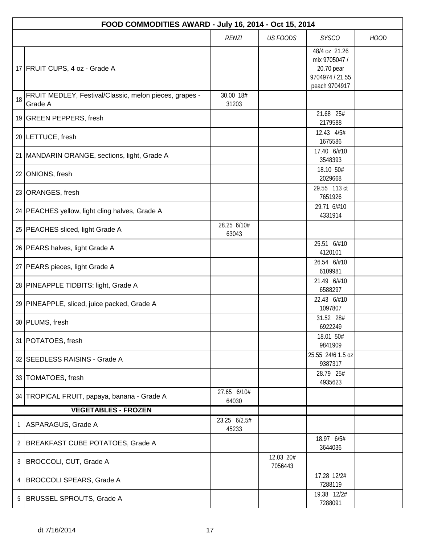|                            | FOOD COMMODITIES AWARD - July 16, 2014 - Oct 15, 2014             |                       |                      |                                                                                  |             |  |  |
|----------------------------|-------------------------------------------------------------------|-----------------------|----------------------|----------------------------------------------------------------------------------|-------------|--|--|
|                            |                                                                   | <b>RENZI</b>          | <b>US FOODS</b>      | <b>SYSCO</b>                                                                     | <b>HOOD</b> |  |  |
|                            | 17 FRUIT CUPS, 4 oz - Grade A                                     |                       |                      | 48/4 oz 21.26<br>mix 9705047 /<br>20.70 pear<br>9704974 / 21.55<br>peach 9704917 |             |  |  |
| 18                         | FRUIT MEDLEY, Festival/Classic, melon pieces, grapes -<br>Grade A | 30.00 18#<br>31203    |                      |                                                                                  |             |  |  |
|                            | 19 GREEN PEPPERS, fresh                                           |                       |                      | 21.68 25#<br>2179588                                                             |             |  |  |
|                            | 20   LETTUCE, fresh                                               |                       |                      | 12.43 4/5#<br>1675586                                                            |             |  |  |
|                            | 21 MANDARIN ORANGE, sections, light, Grade A                      |                       |                      | 17.40 6/#10<br>3548393                                                           |             |  |  |
|                            | 22 ONIONS, fresh                                                  |                       |                      | 18.10 50#<br>2029668                                                             |             |  |  |
|                            | 23 ORANGES, fresh                                                 |                       |                      | 29.55 113 ct<br>7651926                                                          |             |  |  |
|                            | 24   PEACHES yellow, light cling halves, Grade A                  |                       |                      | 29.71 6/#10<br>4331914                                                           |             |  |  |
|                            | 25   PEACHES sliced, light Grade A                                | 28.25 6/10#<br>63043  |                      |                                                                                  |             |  |  |
|                            | 26   PEARS halves, light Grade A                                  |                       |                      | 25.51 6/#10<br>4120101                                                           |             |  |  |
|                            | 27   PEARS pieces, light Grade A                                  |                       |                      | 26.54 6/#10<br>6109981                                                           |             |  |  |
|                            | 28 PINEAPPLE TIDBITS: light, Grade A                              |                       |                      | 21.49 6/#10<br>6588297                                                           |             |  |  |
|                            | 29 PINEAPPLE, sliced, juice packed, Grade A                       |                       |                      | 22.43 6/#10<br>1097807                                                           |             |  |  |
|                            | 30 PLUMS, fresh                                                   |                       |                      | 31.52 28#<br>6922249                                                             |             |  |  |
|                            | 31   POTATOES, fresh                                              |                       |                      | 18.01 50#<br>9841909                                                             |             |  |  |
|                            | 32 SEEDLESS RAISINS - Grade A                                     |                       |                      | 25.55 24/6 1.5 oz<br>9387317                                                     |             |  |  |
|                            | 33 TOMATOES, fresh                                                |                       |                      | 28.79 25#<br>4935623                                                             |             |  |  |
|                            | 34 TROPICAL FRUIT, papaya, banana - Grade A                       | 27.65 6/10#<br>64030  |                      |                                                                                  |             |  |  |
| <b>VEGETABLES - FROZEN</b> |                                                                   |                       |                      |                                                                                  |             |  |  |
| 1                          | ASPARAGUS, Grade A                                                | 23.25 6/2.5#<br>45233 |                      |                                                                                  |             |  |  |
| $\mathbf{2}$               | BREAKFAST CUBE POTATOES, Grade A                                  |                       |                      | 18.97 6/5#<br>3644036                                                            |             |  |  |
| 3                          | BROCCOLI, CUT, Grade A                                            |                       | 12.03 20#<br>7056443 |                                                                                  |             |  |  |
| 4                          | <b>BROCCOLI SPEARS, Grade A</b>                                   |                       |                      | 17.28 12/2#<br>7288119                                                           |             |  |  |
| 5                          | BRUSSEL SPROUTS, Grade A                                          |                       |                      | 19.38 12/2#<br>7288091                                                           |             |  |  |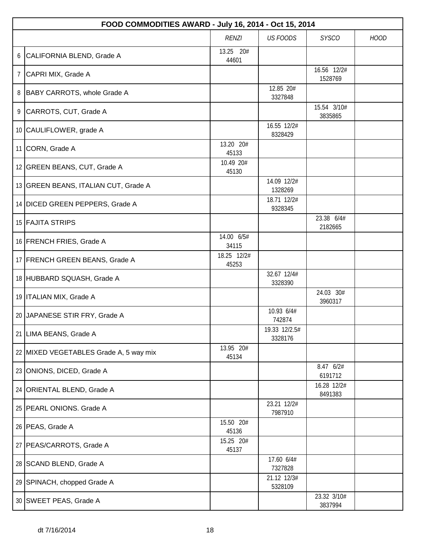|   | FOOD COMMODITIES AWARD - July 16, 2014 - Oct 15, 2014 |                      |                          |                        |             |  |  |
|---|-------------------------------------------------------|----------------------|--------------------------|------------------------|-------------|--|--|
|   |                                                       | <b>RENZI</b>         | <b>US FOODS</b>          | <b>SYSCO</b>           | <b>HOOD</b> |  |  |
| 6 | CALIFORNIA BLEND, Grade A                             | 13.25 20#<br>44601   |                          |                        |             |  |  |
| 7 | CAPRI MIX, Grade A                                    |                      |                          | 16.56 12/2#<br>1528769 |             |  |  |
| 8 | BABY CARROTS, whole Grade A                           |                      | 12.85 20#<br>3327848     |                        |             |  |  |
|   | 9 CARROTS, CUT, Grade A                               |                      |                          | 15.54 3/10#<br>3835865 |             |  |  |
|   | 10 CAULIFLOWER, grade A                               |                      | 16.55 12/2#<br>8328429   |                        |             |  |  |
|   | 11 CORN, Grade A                                      | 13.20 20#<br>45133   |                          |                        |             |  |  |
|   | 12 GREEN BEANS, CUT, Grade A                          | 10.49 20#<br>45130   |                          |                        |             |  |  |
|   | 13 GREEN BEANS, ITALIAN CUT, Grade A                  |                      | 14.09 12/2#<br>1328269   |                        |             |  |  |
|   | 14 DICED GREEN PEPPERS, Grade A                       |                      | 18.71 12/2#<br>9328345   |                        |             |  |  |
|   | 15 FAJITA STRIPS                                      |                      |                          | 23.38 6/4#<br>2182665  |             |  |  |
|   | 16 FRENCH FRIES, Grade A                              | 14.00 6/5#<br>34115  |                          |                        |             |  |  |
|   | 17 FRENCH GREEN BEANS, Grade A                        | 18.25 12/2#<br>45253 |                          |                        |             |  |  |
|   | 18 HUBBARD SQUASH, Grade A                            |                      | 32.67 12/4#<br>3328390   |                        |             |  |  |
|   | 19   ITALIAN MIX, Grade A                             |                      |                          | 24.03 30#<br>3960317   |             |  |  |
|   | 20 JAPANESE STIR FRY, Grade A                         |                      | 10.93 6/4#<br>742874     |                        |             |  |  |
|   | 21 LIMA BEANS, Grade A                                |                      | 19.33 12/2.5#<br>3328176 |                        |             |  |  |
|   | 22 MIXED VEGETABLES Grade A, 5 way mix                | 13.95 20#<br>45134   |                          |                        |             |  |  |
|   | 23 ONIONS, DICED, Grade A                             |                      |                          | 8.47 6/2#<br>6191712   |             |  |  |
|   | 24 ORIENTAL BLEND, Grade A                            |                      |                          | 16.28 12/2#<br>8491383 |             |  |  |
|   | 25   PEARL ONIONS. Grade A                            |                      | 23.21 12/2#<br>7987910   |                        |             |  |  |
|   | 26 PEAS, Grade A                                      | 15.50 20#<br>45136   |                          |                        |             |  |  |
|   | 27   PEAS/CARROTS, Grade A                            | 15.25 20#<br>45137   |                          |                        |             |  |  |
|   | 28   SCAND BLEND, Grade A                             |                      | 17.60 6/4#<br>7327828    |                        |             |  |  |
|   | 29 SPINACH, chopped Grade A                           |                      | 21.12 12/3#<br>5328109   |                        |             |  |  |
|   | 30 SWEET PEAS, Grade A                                |                      |                          | 23.32 3/10#<br>3837994 |             |  |  |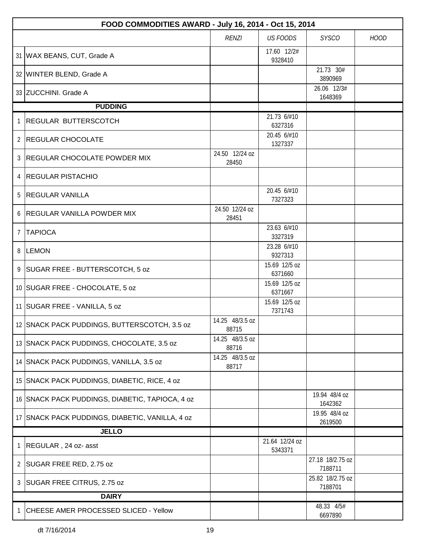|                | FOOD COMMODITIES AWARD - July 16, 2014 - Oct 15, 2014 |                          |                           |                             |             |  |  |
|----------------|-------------------------------------------------------|--------------------------|---------------------------|-----------------------------|-------------|--|--|
|                |                                                       | <b>RENZI</b>             | <b>US FOODS</b>           | <b>SYSCO</b>                | <b>HOOD</b> |  |  |
|                | 31   WAX BEANS, CUT, Grade A                          |                          | 17.60 12/2#<br>9328410    |                             |             |  |  |
|                | 32 WINTER BLEND, Grade A                              |                          |                           | 21.73 30#<br>3890969        |             |  |  |
|                | 33 ZUCCHINI. Grade A                                  |                          |                           | 26.06 12/3#<br>1648369      |             |  |  |
|                | <b>PUDDING</b>                                        |                          |                           |                             |             |  |  |
| 1              | <b>REGULAR BUTTERSCOTCH</b>                           |                          | 21.73 6/#10<br>6327316    |                             |             |  |  |
| 2              | <b>REGULAR CHOCOLATE</b>                              |                          | 20.45 6/#10<br>1327337    |                             |             |  |  |
| 3              | <b>REGULAR CHOCOLATE POWDER MIX</b>                   | 24.50 12/24 oz<br>28450  |                           |                             |             |  |  |
|                | 4 REGULAR PISTACHIO                                   |                          |                           |                             |             |  |  |
| 5              | <b>REGULAR VANILLA</b>                                |                          | 20.45 6/#10<br>7327323    |                             |             |  |  |
| 6              | <b>REGULAR VANILLA POWDER MIX</b>                     | 24.50 12/24 oz<br>28451  |                           |                             |             |  |  |
| $\overline{7}$ | <b>TAPIOCA</b>                                        |                          | 23.63 6/#10<br>3327319    |                             |             |  |  |
|                | 8 LEMON                                               |                          | 23.28 6/#10<br>9327313    |                             |             |  |  |
| 9              | SUGAR FREE - BUTTERSCOTCH, 5 oz                       |                          | 15.69 12/5 oz<br>6371660  |                             |             |  |  |
|                | 10 SUGAR FREE - CHOCOLATE, 5 oz                       |                          | 15.69 12/5 oz<br>6371667  |                             |             |  |  |
|                | 11 SUGAR FREE - VANILLA, 5 oz                         |                          | 15.69 12/5 oz<br>7371743  |                             |             |  |  |
|                | 12 SNACK PACK PUDDINGS, BUTTERSCOTCH, 3.5 oz          | 14.25 48/3.5 oz<br>88715 |                           |                             |             |  |  |
|                | 13 SNACK PACK PUDDINGS, CHOCOLATE, 3.5 oz             | 14.25 48/3.5 oz<br>88716 |                           |                             |             |  |  |
|                | 14 SNACK PACK PUDDINGS, VANILLA, 3.5 oz               | 14.25 48/3.5 oz<br>88717 |                           |                             |             |  |  |
|                | 15 SNACK PACK PUDDINGS, DIABETIC, RICE, 4 oz          |                          |                           |                             |             |  |  |
|                | 16 SNACK PACK PUDDINGS, DIABETIC, TAPIOCA, 4 oz       |                          |                           | 19.94 48/4 oz<br>1642362    |             |  |  |
|                | 17 SNACK PACK PUDDINGS, DIABETIC, VANILLA, 4 oz       |                          |                           | 19.95 48/4 oz<br>2619500    |             |  |  |
|                | <b>JELLO</b>                                          |                          |                           |                             |             |  |  |
| 1              | REGULAR, 24 oz- asst                                  |                          | 21.64 12/24 oz<br>5343371 |                             |             |  |  |
| $\mathbf{2}$   | SUGAR FREE RED, 2.75 oz                               |                          |                           | 27.18 18/2.75 oz<br>7188711 |             |  |  |
| 3              | SUGAR FREE CITRUS, 2.75 oz                            |                          |                           | 25.82 18/2.75 oz<br>7188701 |             |  |  |
|                | <b>DAIRY</b>                                          |                          |                           |                             |             |  |  |
| 1              | CHEESE AMER PROCESSED SLICED - Yellow                 |                          |                           | 48.33 4/5#<br>6697890       |             |  |  |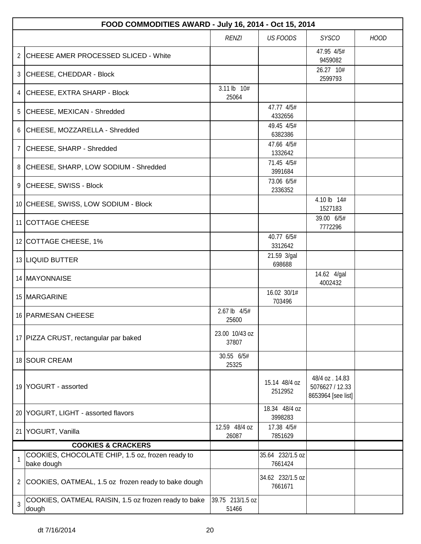|    | FOOD COMMODITIES AWARD - July 16, 2014 - Oct 15, 2014          |                           |                             |                                                         |             |  |  |
|----|----------------------------------------------------------------|---------------------------|-----------------------------|---------------------------------------------------------|-------------|--|--|
|    |                                                                | <b>RENZI</b>              | <b>US FOODS</b>             | <b>SYSCO</b>                                            | <b>HOOD</b> |  |  |
|    | 2 CHEESE AMER PROCESSED SLICED - White                         |                           |                             | 47.95 4/5#<br>9459082                                   |             |  |  |
|    | 3 CHEESE, CHEDDAR - Block                                      |                           |                             | 26.27 10#<br>2599793                                    |             |  |  |
|    | 4 CHEESE, EXTRA SHARP - Block                                  | 3.11 lb 10#<br>25064      |                             |                                                         |             |  |  |
|    | 5 CHEESE, MEXICAN - Shredded                                   |                           | 47.77 4/5#<br>4332656       |                                                         |             |  |  |
|    | 6 CHEESE, MOZZARELLA - Shredded                                |                           | 49.45 4/5#<br>6382386       |                                                         |             |  |  |
| 7  | CHEESE, SHARP - Shredded                                       |                           | 47.66 4/5#<br>1332642       |                                                         |             |  |  |
|    | 8 CHEESE, SHARP, LOW SODIUM - Shredded                         |                           | 71.45 4/5#<br>3991684       |                                                         |             |  |  |
|    | 9 CHEESE, SWISS - Block                                        |                           | 73.06 6/5#<br>2336352       |                                                         |             |  |  |
|    | 10 CHEESE, SWISS, LOW SODIUM - Block                           |                           |                             | 4.10 lb 14#<br>1527183                                  |             |  |  |
|    | 11 COTTAGE CHEESE                                              |                           |                             | 39.00 6/5#<br>7772296                                   |             |  |  |
|    | 12 COTTAGE CHEESE, 1%                                          |                           | 40.77 6/5#<br>3312642       |                                                         |             |  |  |
|    | 13 LIQUID BUTTER                                               |                           | 21.59 3/gal<br>698688       |                                                         |             |  |  |
|    | 14   MAYONNAISE                                                |                           |                             | 14.62 4/gal<br>4002432                                  |             |  |  |
|    | 15 MARGARINE                                                   |                           | 16.02 30/1#<br>703496       |                                                         |             |  |  |
|    | 16 PARMESAN CHEESE                                             | 2.67 lb 4/5#<br>25600     |                             |                                                         |             |  |  |
|    | 17 PIZZA CRUST, rectangular par baked                          | 23.00 10/43 oz<br>37807   |                             |                                                         |             |  |  |
|    | 18 SOUR CREAM                                                  | 30.55 6/5#<br>25325       |                             |                                                         |             |  |  |
|    | 19 YOGURT - assorted                                           |                           | 15.14 48/4 oz<br>2512952    | 48/4 oz. 14.83<br>5076627 / 12.33<br>8653964 [see list] |             |  |  |
|    | 20 YOGURT, LIGHT - assorted flavors                            |                           | 18.34 48/4 oz<br>3998283    |                                                         |             |  |  |
| 21 | YOGURT, Vanilla                                                | 12.59 48/4 oz<br>26087    | 17.38 4/5#<br>7851629       |                                                         |             |  |  |
|    | <b>COOKIES &amp; CRACKERS</b>                                  |                           |                             |                                                         |             |  |  |
|    | COOKIES, CHOCOLATE CHIP, 1.5 oz, frozen ready to<br>bake dough |                           | 35.64 232/1.5 oz<br>7661424 |                                                         |             |  |  |
| 2  | COOKIES, OATMEAL, 1.5 oz frozen ready to bake dough            |                           | 34.62 232/1.5 oz<br>7661671 |                                                         |             |  |  |
| 3  | COOKIES, OATMEAL RAISIN, 1.5 oz frozen ready to bake<br>dough  | 39.75 213/1.5 oz<br>51466 |                             |                                                         |             |  |  |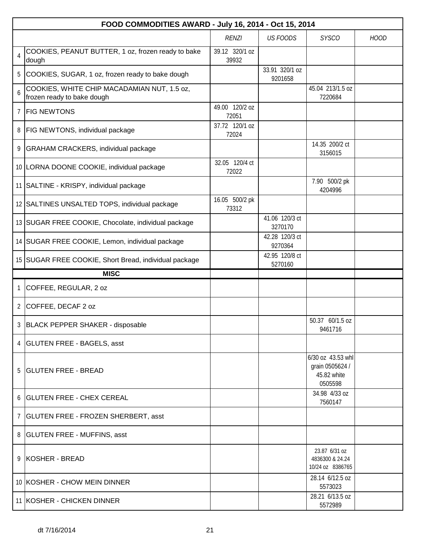|                | FOOD COMMODITIES AWARD - July 16, 2014 - Oct 15, 2014                     |                         |                           |                                                                |             |  |  |
|----------------|---------------------------------------------------------------------------|-------------------------|---------------------------|----------------------------------------------------------------|-------------|--|--|
|                |                                                                           | <b>RENZI</b>            | <b>US FOODS</b>           | <b>SYSCO</b>                                                   | <b>HOOD</b> |  |  |
| $\overline{4}$ | COOKIES, PEANUT BUTTER, 1 oz, frozen ready to bake<br>dough               | 39.12 320/1 oz<br>39932 |                           |                                                                |             |  |  |
| 5              | COOKIES, SUGAR, 1 oz, frozen ready to bake dough                          |                         | 33.91 320/1 oz<br>9201658 |                                                                |             |  |  |
| 6              | COOKIES, WHITE CHIP MACADAMIAN NUT, 1.5 oz,<br>frozen ready to bake dough |                         |                           | 45.04 213/1.5 oz<br>7220684                                    |             |  |  |
| $\overline{7}$ | <b>FIG NEWTONS</b>                                                        | 49.00 120/2 oz<br>72051 |                           |                                                                |             |  |  |
| 8              | <b>FIG NEWTONS, individual package</b>                                    | 37.72 120/1 oz<br>72024 |                           |                                                                |             |  |  |
| 9              | GRAHAM CRACKERS, individual package                                       |                         |                           | 14.35 200/2 ct<br>3156015                                      |             |  |  |
|                | 10 LORNA DOONE COOKIE, individual package                                 | 32.05 120/4 ct<br>72022 |                           |                                                                |             |  |  |
|                | 11 SALTINE - KRISPY, individual package                                   |                         |                           | 7.90 500/2 pk<br>4204996                                       |             |  |  |
|                | 12 SALTINES UNSALTED TOPS, individual package                             | 16.05 500/2 pk<br>73312 |                           |                                                                |             |  |  |
|                | 13 SUGAR FREE COOKIE, Chocolate, individual package                       |                         | 41.06 120/3 ct<br>3270170 |                                                                |             |  |  |
|                | 14 SUGAR FREE COOKIE, Lemon, individual package                           |                         | 42.28 120/3 ct<br>9270364 |                                                                |             |  |  |
|                | 15 SUGAR FREE COOKIE, Short Bread, individual package                     |                         | 42.95 120/8 ct<br>5270160 |                                                                |             |  |  |
|                | <b>MISC</b>                                                               |                         |                           |                                                                |             |  |  |
| $\mathbf{1}$   | COFFEE, REGULAR, 2 oz                                                     |                         |                           |                                                                |             |  |  |
|                | 2 COFFEE, DECAF 2 oz                                                      |                         |                           |                                                                |             |  |  |
| 3 <sup>1</sup> | BLACK PEPPER SHAKER - disposable                                          |                         |                           | 50.37 60/1.5 oz<br>9461716                                     |             |  |  |
|                | 4 GLUTEN FREE - BAGELS, asst                                              |                         |                           |                                                                |             |  |  |
|                | 5 GLUTEN FREE - BREAD                                                     |                         |                           | 6/30 oz 43.53 whl<br>grain 0505624 /<br>45.82 white<br>0505598 |             |  |  |
|                | 6   GLUTEN FREE - CHEX CEREAL                                             |                         |                           | 34.98 4/33 oz<br>7560147                                       |             |  |  |
|                | 7   GLUTEN FREE - FROZEN SHERBERT, asst                                   |                         |                           |                                                                |             |  |  |
|                | 8 GLUTEN FREE - MUFFINS, asst                                             |                         |                           |                                                                |             |  |  |
|                | 9 KOSHER - BREAD                                                          |                         |                           | 23.87 6/31 oz<br>4836300 & 24.24<br>10/24 oz 8386765           |             |  |  |
|                | 10 KOSHER - CHOW MEIN DINNER                                              |                         |                           | 28.14 6/12.5 oz<br>5573023                                     |             |  |  |
|                | 11 KOSHER - CHICKEN DINNER                                                |                         |                           | 28.21 6/13.5 oz<br>5572989                                     |             |  |  |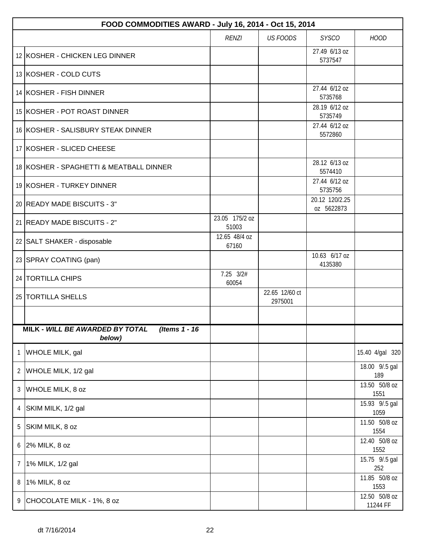|   | FOOD COMMODITIES AWARD - July 16, 2014 - Oct 15, 2014      |                         |                           |                              |                           |  |  |  |
|---|------------------------------------------------------------|-------------------------|---------------------------|------------------------------|---------------------------|--|--|--|
|   |                                                            | <b>RENZI</b>            | <b>US FOODS</b>           | <b>SYSCO</b>                 | <b>HOOD</b>               |  |  |  |
|   | 12 KOSHER - CHICKEN LEG DINNER                             |                         |                           | 27.49 6/13 oz<br>5737547     |                           |  |  |  |
|   | 13 KOSHER - COLD CUTS                                      |                         |                           |                              |                           |  |  |  |
|   | 14 KOSHER - FISH DINNER                                    |                         |                           | 27.44 6/12 oz<br>5735768     |                           |  |  |  |
|   | 15 KOSHER - POT ROAST DINNER                               |                         |                           | 28.19 6/12 oz<br>5735749     |                           |  |  |  |
|   | 16 KOSHER - SALISBURY STEAK DINNER                         |                         |                           | 27.44 6/12 oz<br>5572860     |                           |  |  |  |
|   | 17 KOSHER - SLICED CHEESE                                  |                         |                           |                              |                           |  |  |  |
|   | 18 KOSHER - SPAGHETTI & MEATBALL DINNER                    |                         |                           | 28.12 6/13 oz<br>5574410     |                           |  |  |  |
|   | 19 KOSHER - TURKEY DINNER                                  |                         |                           | 27.44 6/12 oz<br>5735756     |                           |  |  |  |
|   | 20 READY MADE BISCUITS - 3"                                |                         |                           | 20.12 120/2.25<br>oz 5622873 |                           |  |  |  |
|   | 21 READY MADE BISCUITS - 2"                                | 23.05 175/2 oz<br>51003 |                           |                              |                           |  |  |  |
|   | 22 SALT SHAKER - disposable                                | 12.65 48/4 oz<br>67160  |                           |                              |                           |  |  |  |
|   | 23 SPRAY COATING (pan)                                     |                         |                           | 10.63 6/17 oz<br>4135380     |                           |  |  |  |
|   | 24 TORTILLA CHIPS                                          | 7.25 3/2#<br>60054      |                           |                              |                           |  |  |  |
|   | 25   TORTILLA SHELLS                                       |                         | 22.65 12/60 ct<br>2975001 |                              |                           |  |  |  |
|   |                                                            |                         |                           |                              |                           |  |  |  |
|   | (Items 1 - 16<br>MILK - WILL BE AWARDED BY TOTAL<br>below) |                         |                           |                              |                           |  |  |  |
| 1 | WHOLE MILK, gal                                            |                         |                           |                              | 15.40 4/gal 320           |  |  |  |
| 2 | WHOLE MILK, 1/2 gal                                        |                         |                           |                              | 18.00 9/.5 gal<br>189     |  |  |  |
| 3 | WHOLE MILK, 8 oz                                           |                         |                           |                              | 13.50 50/8 oz<br>1551     |  |  |  |
| 4 | SKIM MILK, 1/2 gal                                         |                         |                           |                              | 15.93 9/.5 gal<br>1059    |  |  |  |
| 5 | SKIM MILK, 8 oz                                            |                         |                           |                              | 11.50 50/8 oz<br>1554     |  |  |  |
|   | 6 2% MILK, 8 oz                                            |                         |                           |                              | 12.40 50/8 oz<br>1552     |  |  |  |
| 7 | 1% MILK, 1/2 gal                                           |                         |                           |                              | 15.75 9/.5 gal<br>252     |  |  |  |
| 8 | 1% MILK, 8 oz                                              |                         |                           |                              | 11.85 50/8 oz<br>1553     |  |  |  |
| 9 | CHOCOLATE MILK - 1%, 8 oz                                  |                         |                           |                              | 12.50 50/8 oz<br>11244 FF |  |  |  |